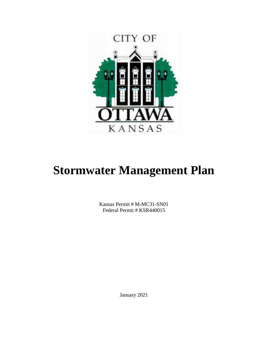

# **Stormwater Management Plan**

Kansas Permit # M-MC31-SN01 Federal Permit # KSR440015

January 2021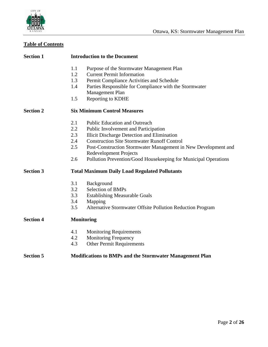

# **Table of Contents**

| <b>Section 1</b> | <b>Introduction to the Document</b>                                              |  |  |  |  |  |
|------------------|----------------------------------------------------------------------------------|--|--|--|--|--|
|                  | 1.1<br>Purpose of the Stormwater Management Plan                                 |  |  |  |  |  |
|                  | 1.2<br><b>Current Permit Information</b>                                         |  |  |  |  |  |
|                  | 1.3<br>Permit Compliance Activities and Schedule                                 |  |  |  |  |  |
|                  | 1.4<br>Parties Responsible for Compliance with the Stormwater<br>Management Plan |  |  |  |  |  |
|                  | Reporting to KDHE<br>1.5                                                         |  |  |  |  |  |
| <b>Section 2</b> | <b>Six Minimum Control Measures</b>                                              |  |  |  |  |  |
|                  | 2.1<br><b>Public Education and Outreach</b>                                      |  |  |  |  |  |
|                  | 2.2<br>Public Involvement and Participation                                      |  |  |  |  |  |
|                  | 2.3<br>Illicit Discharge Detection and Elimination                               |  |  |  |  |  |
|                  | 2.4<br><b>Construction Site Stormwater Runoff Control</b>                        |  |  |  |  |  |
|                  | 2.5<br>Post-Construction Stormwater Management in New Development and            |  |  |  |  |  |
|                  | <b>Redevelopment Projects</b>                                                    |  |  |  |  |  |
|                  | 2.6<br>Pollution Prevention/Good Housekeeping for Municipal Operations           |  |  |  |  |  |
| <b>Section 3</b> | <b>Total Maximum Daily Load Regulated Pollutants</b>                             |  |  |  |  |  |
|                  | 3.1<br>Background                                                                |  |  |  |  |  |
|                  | 3.2<br>Selection of BMPs                                                         |  |  |  |  |  |
|                  | 3.3<br><b>Establishing Measurable Goals</b>                                      |  |  |  |  |  |
|                  | 3.4<br>Mapping                                                                   |  |  |  |  |  |
|                  | Alternative Stormwater Offsite Pollution Reduction Program<br>3.5                |  |  |  |  |  |
| <b>Section 4</b> | <b>Monitoring</b>                                                                |  |  |  |  |  |
|                  | 4.1<br><b>Monitoring Requirements</b>                                            |  |  |  |  |  |
|                  | <b>Monitoring Frequency</b><br>4.2                                               |  |  |  |  |  |
|                  | 4.3<br><b>Other Permit Requirements</b>                                          |  |  |  |  |  |
| <b>Section 5</b> | <b>Modifications to BMPs and the Stormwater Management Plan</b>                  |  |  |  |  |  |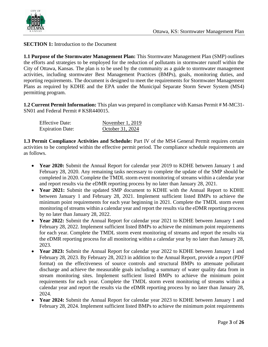

**SECTION 1:** Introduction to the Document

**1.1 Purpose of the Stormwater Management Plan:** This Stormwater Management Plan (SMP) outlines the efforts and strategies to be employed for the reduction of pollutants in stormwater runoff within the City of Ottawa, Kansas. The plan is to be used by the community as a guide to stormwater management activities, including stormwater Best Management Practices (BMPs), goals, monitoring duties, and reporting requirements. The document is designed to meet the requirements for Stormwater Management Plans as required by KDHE and the EPA under the Municipal Separate Storm Sewer System (MS4) permitting program.

**1.2 Current Permit Information:** This plan was prepared in compliance with Kansas Permit # M-MC31- SN01 and Federal Permit # KSR440015.

| <b>Effective Date:</b>  | November $1, 2019$ |
|-------------------------|--------------------|
| <b>Expiration Date:</b> | October 31, 2024   |

**1.3 Permit Compliance Activities and Schedule:** Part IV of the MS4 General Permit requires certain activities to be completed within the effective permit period. The compliance schedule requirements are as follows.

- **Year 2020:** Submit the Annual Report for calendar year 2019 to KDHE between January 1 and February 28, 2020. Any remaining tasks necessary to complete the update of the SMP should be completed in 2020. Complete the TMDL storm event monitoring of streams within a calendar year and report results via the eDMR reporting process by no later than January 28, 2021.
- **Year 2021:** Submit the updated SMP document to KDHE with the Annual Report to KDHE between January 1 and February 28, 2021. Implement sufficient listed BMPs to achieve the minimum point requirements for each year beginning in 2021. Complete the TMDL storm event monitoring of streams within a calendar year and report the results via the eDMR reporting process by no later than January 28, 2022.
- **Year 2022:** Submit the Annual Report for calendar year 2021 to KDHE between January 1 and February 28, 2022. Implement sufficient listed BMPs to achieve the minimum point requirements for each year. Complete the TMDL storm event monitoring of streams and report the results via the eDMR reporting process for all monitoring within a calendar year by no later than January 28, 2023.
- **Year 2023:** Submit the Annual Report for calendar year 2022 to KDHE between January 1 and February 28, 2023. By February 28, 2023 in addition to the Annual Report, provide a report (PDF format) on the effectiveness of source controls and structural BMPs to attenuate pollutant discharge and achieve the measurable goals including a summary of water quality data from in stream monitoring sites. Implement sufficient listed BMPs to achieve the minimum point requirements for each year. Complete the TMDL storm event monitoring of streams within a calendar year and report the results via the eDMR reporting process by no later than January 28, 2024.
- **Year 2024:** Submit the Annual Report for calendar year 2023 to KDHE between January 1 and February 28, 2024. Implement sufficient listed BMPs to achieve the minimum point requirements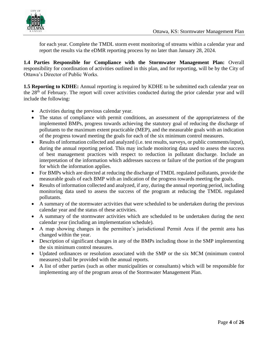

for each year. Complete the TMDL storm event monitoring of streams within a calendar year and report the results via the eDMR reporting process by no later than January 28, 2024.

**1.4 Parties Responsible for Compliance with the Stormwater Management Plan:** Overall responsibility for coordination of activities outlined in this plan, and for reporting, will be by the City of Ottawa's Director of Public Works.

**1.5 Reporting to KDHE:** Annual reporting is required by KDHE to be submitted each calendar year on the 28th of February. The report will cover activities conducted during the prior calendar year and will include the following:

- Activities during the previous calendar year.
- The status of compliance with permit conditions, an assessment of the appropriateness of the implemented BMPs, progress towards achieving the statutory goal of reducing the discharge of pollutants to the maximum extent practicable (MEP), and the measurable goals with an indication of the progress toward meeting the goals for each of the six minimum control measures.
- Results of information collected and analyzed (i.e. test results, surveys, or public comments/input), during the annual reporting period. This may include monitoring data used to assess the success of best management practices with respect to reduction in pollutant discharge. Include an interpretation of the information which addresses success or failure of the portion of the program for which the information applies.
- For BMPs which are directed at reducing the discharge of TMDL regulated pollutants, provide the measurable goals of each BMP with an indication of the progress towards meeting the goals.
- Results of information collected and analyzed, if any, during the annual reporting period, including monitoring data used to assess the success of the program at reducing the TMDL regulated pollutants.
- A summary of the stormwater activities that were scheduled to be undertaken during the previous calendar year and the status of these activities.
- A summary of the stormwater activities which are scheduled to be undertaken during the next calendar year (including an implementation schedule).
- A map showing changes in the permittee's jurisdictional Permit Area if the permit area has changed within the year.
- Description of significant changes in any of the BMPs including those in the SMP implementing the six minimum control measures.
- Updated ordinances or resolution associated with the SMP or the six MCM (minimum control measures) shall be provided with the annual reports.
- A list of other parties (such as other municipalities or consultants) which will be responsible for implementing any of the program areas of the Stormwater Management Plan.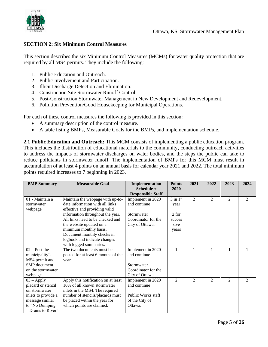

#### **SECTION 2: Six Minimum Control Measures**

This section describes the six Minimum Control Measures (MCMs) for water quality protection that are required by all MS4 permits. They include the following:

- 1. Public Education and Outreach.
- 2. Public Involvement and Participation.
- 3. Illicit Discharge Detection and Elimination.
- 4. Construction Site Stormwater Runoff Control.
- 5. Post-Construction Stormwater Management in New Development and Redevelopment.
- 6. Pollution Prevention/Good Housekeeping for Municipal Operations.

For each of these control measures the following is provided in this section:

- A summary description of the control measure.
- A table listing BMPs, Measurable Goals for the BMPs, and implementation schedule.

**2.1 Public Education and Outreach:** This MCM consists of implementing a public education program. This includes the distribution of educational materials to the community, conducting outreach activities to address the impacts of stormwater discharges on water bodies, and the steps the public can take to reduce pollutants in stormwater runoff. The implementation of BMPs for this MCM must result in accumulation of at least 4 points on an annual basis for calendar year 2021 and 2022. The total minimum points required increases to 7 beginning in 2023.

| <b>BMP</b> Summary  | <b>Measurable Goal</b>              | Implementation            | <b>Points</b>  | 2021           | 2022           | 2023           | 2024           |
|---------------------|-------------------------------------|---------------------------|----------------|----------------|----------------|----------------|----------------|
|                     |                                     | $Schedule +$              | 2020           |                |                |                |                |
|                     |                                     | <b>Responsible Staff</b>  |                |                |                |                |                |
| 01 - Maintain a     | Maintain the webpage with up-to-    | Implement in 2020         | $3$ in $1st$   | 2              | 2              | 2              | 2              |
| stormwater          | date information with all links     | and continue              | year           |                |                |                |                |
| webpage             | effective and providing valid       |                           |                |                |                |                |                |
|                     | information throughout the year.    | Stormwater                | 2 for          |                |                |                |                |
|                     | All links need to be checked and    | Coordinator for the       | succes         |                |                |                |                |
|                     | the website updated on a            | City of Ottawa.           | sive           |                |                |                |                |
|                     | minimum monthly basis.              |                           | years          |                |                |                |                |
|                     | Document monthly checks in          |                           |                |                |                |                |                |
|                     | logbook and indicate changes        |                           |                |                |                |                |                |
|                     | with logged summaries.              |                           |                |                |                |                |                |
| $02 - Post$ the     | The two documents must be.          | Implement in 2020         |                |                |                |                |                |
| municipality's      | posted for at least 6 months of the | and continue              |                |                |                |                |                |
| MS4 permit and      | year.                               |                           |                |                |                |                |                |
| SMP document        |                                     | Stormwater                |                |                |                |                |                |
| on the stormwater   |                                     | Coordinator for the       |                |                |                |                |                |
| webpage.            |                                     | City of Ottawa.           |                |                |                |                |                |
| $03 - Apply$        | Apply this notification on at least | Implement in 2020         | $\mathfrak{D}$ | $\mathfrak{D}$ | $\mathfrak{D}$ | $\mathfrak{D}$ | $\mathfrak{D}$ |
| placard or stencil  | 10% of all known stormwater         | and continue              |                |                |                |                |                |
| on stormwater       | inlets in the MS4. The required     |                           |                |                |                |                |                |
| inlets to provide a | number of stencils/placards must    | <b>Public Works staff</b> |                |                |                |                |                |
| message similar     | be placed within the year for       | of the City of            |                |                |                |                |                |
| to "No Dumping      | which points are claimed.           | Ottawa.                   |                |                |                |                |                |
| - Drains to River"  |                                     |                           |                |                |                |                |                |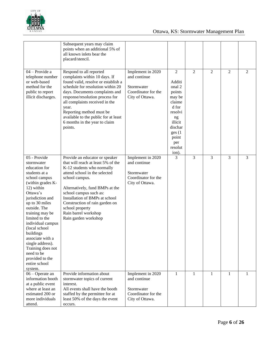

|                                                                                                                                                                                                                                                                                                                                                                                                      | Subsequent years may claim<br>points when an additional 5% of<br>all known inlets bear the<br>placard/stencil.                                                                                                                                                                                                                                                       |                                                                                                        |                                                                                                                                                               |                |                |                |                |
|------------------------------------------------------------------------------------------------------------------------------------------------------------------------------------------------------------------------------------------------------------------------------------------------------------------------------------------------------------------------------------------------------|----------------------------------------------------------------------------------------------------------------------------------------------------------------------------------------------------------------------------------------------------------------------------------------------------------------------------------------------------------------------|--------------------------------------------------------------------------------------------------------|---------------------------------------------------------------------------------------------------------------------------------------------------------------|----------------|----------------|----------------|----------------|
| 04 - Provide a<br>telephone number<br>or web-based<br>method for the<br>public to report<br>illicit discharges.                                                                                                                                                                                                                                                                                      | Respond to all reported<br>complaints within 10 days. If<br>found valid, resolve or establish a<br>schedule for resolution within 20<br>days. Documents complaints and<br>response/resolution process for<br>all complaints received in the<br>year.<br>Reporting method must be<br>available to the public for at least<br>6 months in the year to claim<br>points. | Implement in 2020<br>and continue<br>Stormwater<br>Coordinator for the<br>City of Ottawa.              | $\mathbf{2}$<br>Additi<br>onal 2<br>points<br>may be<br>claime<br>d for<br>resolvi<br>ng<br>illicit<br>dischar<br>ges (1)<br>point<br>per<br>resolut<br>ion). | $\overline{2}$ | $\mathfrak{2}$ | $\overline{2}$ | $\overline{2}$ |
| 05 - Provide<br>stormwater<br>education for<br>students at a<br>school campus<br>(within grades K-<br>12) within<br>Ottawa's<br>jurisdiction and<br>up to 30 miles<br>outside. The<br>training may be<br>limited to the<br>individual campus<br>(local school<br>buildings<br>associate with a<br>single address).<br>Training does not<br>need to be<br>provided to the<br>entire school<br>system. | Provide an educator or speaker<br>that will reach at least 5% of the<br>K-12 students who normally<br>attend school in the selected<br>school campus.<br>Alternatively, fund BMPs at the<br>school campus such as:<br>Installation of BMPs at school<br>Construction of rain garden on<br>school property<br>Rain barrel workshop<br>Rain garden workshop            | Implement in $20\overline{20}$<br>and continue<br>Stormwater<br>Coordinator for the<br>City of Ottawa. | 3                                                                                                                                                             | 3              | 3              | 3              | 3              |
| 06 - Operate an<br>information booth<br>at a public event<br>where at least an<br>estimated 200 or<br>more individuals<br>attend.                                                                                                                                                                                                                                                                    | Provide information about<br>stormwater topics of current<br>interest.<br>All events shall have the booth<br>staffed by the permittee for at<br>least 50% of the days the event<br>occurs.                                                                                                                                                                           | Implement in 2020<br>and continue<br>Stormwater<br>Coordinator for the<br>City of Ottawa.              | 1                                                                                                                                                             | 1              | $\mathbf{1}$   | 1              | 1              |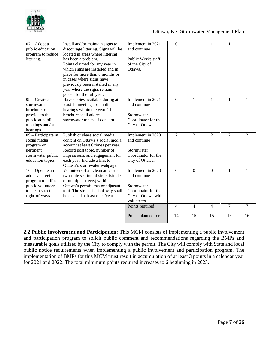

| $07 -$ Adopt a<br>public education<br>program to reduce<br>littering.                                               | Install and/or maintain signs to<br>discourage littering. Signs will be<br>located in areas where littering<br>has been a problem.<br>Points claimed for any year in<br>which signs are installed and in<br>place for more than 6 months or<br>in cases where signs have<br>previously been installed in any<br>year where the signs remain<br>posted for the full year. | Implement in 2021<br>and continue<br>Public Works staff<br>of the City of<br>Ottawa.                         | 0              | 1              | 1              | 1              |                |
|---------------------------------------------------------------------------------------------------------------------|--------------------------------------------------------------------------------------------------------------------------------------------------------------------------------------------------------------------------------------------------------------------------------------------------------------------------------------------------------------------------|--------------------------------------------------------------------------------------------------------------|----------------|----------------|----------------|----------------|----------------|
| 08 - Create a<br>stormwater<br>brochure to<br>provide to the<br>public at public<br>meetings and/or<br>hearings.    | Have copies available during at<br>least 10 meetings or public<br>hearings within the year. The<br>brochure shall address<br>stormwater topics of concern.                                                                                                                                                                                                               | Implement in 2021<br>and continue<br>Stormwater<br>Coordinator for the<br>City of Ottawa.                    | $\overline{0}$ | $\mathbf{1}$   | $\mathbf{1}$   | $\mathbf{1}$   |                |
| 09 - Participate in<br>social media<br>program on<br>pertinent<br>stormwater public<br>education topics.            | Publish or share social media<br>content on Ottawa's social media<br>account at least 6 times per year.<br>Record post topic, number of<br>impressions, and engagement for<br>each post. Include a link to<br>Ottawa's stormwater webpage.                                                                                                                               | Implement in 2020<br>and continue<br>Stormwater<br>Coordinator for the<br>City of Ottawa.                    | $\overline{2}$ | $\overline{2}$ | $\overline{2}$ | $\overline{2}$ | $\overline{2}$ |
| $10 -$ Operate an<br>adopt-a-street<br>program to utilize<br>public volunteers<br>to clean street<br>right-of-ways. | Volunteers shall clean at least a<br>two-mile section of street (single<br>or multiple streets) within<br>Ottawa's permit area or adjacent<br>to it. The street right-of-way shall<br>be cleaned at least once/year.                                                                                                                                                     | Implement in 2023<br>and continue<br>Stormwater<br>Coordinator for the<br>City of Ottawa with<br>volunteers. | $\overline{0}$ | $\Omega$       | $\mathbf{0}$   | $\mathbf{1}$   |                |
|                                                                                                                     |                                                                                                                                                                                                                                                                                                                                                                          | Points required                                                                                              | 4              | $\overline{4}$ | $\overline{4}$ | $\overline{7}$ | $\tau$         |
|                                                                                                                     |                                                                                                                                                                                                                                                                                                                                                                          | Points planned for                                                                                           | 14             | 15             | 15             | 16             | 16             |

**2.2 Public Involvement and Participation:** This MCM consists of implementing a public involvement and participation program to solicit public comment and recommendations regarding the BMPs and measurable goals utilized by the City to comply with the permit. The City will comply with State and local public notice requirements when implementing a public involvement and participation program. The implementation of BMPs for this MCM must result in accumulation of at least 3 points in a calendar year for 2021 and 2022. The total minimum points required increases to 6 beginning in 2023.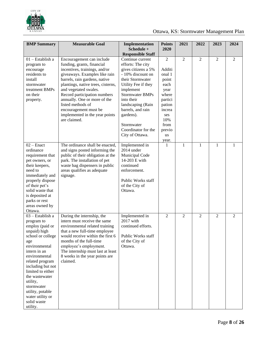

| <b>BMP</b> Summary                                                                                                                                                                                                                                                                                                          | <b>Measurable Goal</b>                                                                                                                                                                                                                                                                                                                                                                    | Implementation                                                                                                                                                                                                                                                                                   | <b>Points</b>                                                                                                                         | 2021           | 2022           | 2023           | 2024 |
|-----------------------------------------------------------------------------------------------------------------------------------------------------------------------------------------------------------------------------------------------------------------------------------------------------------------------------|-------------------------------------------------------------------------------------------------------------------------------------------------------------------------------------------------------------------------------------------------------------------------------------------------------------------------------------------------------------------------------------------|--------------------------------------------------------------------------------------------------------------------------------------------------------------------------------------------------------------------------------------------------------------------------------------------------|---------------------------------------------------------------------------------------------------------------------------------------|----------------|----------------|----------------|------|
|                                                                                                                                                                                                                                                                                                                             |                                                                                                                                                                                                                                                                                                                                                                                           | Schedule +<br><b>Responsible Staff</b>                                                                                                                                                                                                                                                           | 2020                                                                                                                                  |                |                |                |      |
| $01$ - Establish a<br>program to<br>encourage<br>residents to<br>install<br>stormwater<br>treatment BMPs<br>on their<br>property.                                                                                                                                                                                           | Encouragement can include<br>funding, grants, financial<br>incentives, trainings, and/or<br>giveaways. Examples like rain<br>barrels, rain gardens, native<br>plantings, native trees, cisterns,<br>and vegetated swales.<br>Record participation numbers<br>annually. One or more of the<br>listed methods of<br>encouragement must be<br>implemented in the year points<br>are claimed. | Continue current<br>efforts: The city<br>gives citizens a 5%<br>- 10% discount on<br>their Stormwater<br>Utility Fee if they<br>implement<br><b>Stormwater BMPs</b><br>into their<br>landscaping (Rain<br>barrels, and rain<br>gardens).<br>Stormwater<br>Coordinator for the<br>City of Ottawa. | 2<br>Additi<br>onal 1<br>point<br>each<br>year<br>where<br>partici<br>pation<br>increa<br>ses<br>10%<br>from<br>previo<br>us<br>year. | $\overline{2}$ | $\overline{2}$ | $\overline{2}$ | 2    |
| $02$ – Enact<br>ordinance<br>requirement that<br>pet owners, or<br>their keepers,<br>need to<br>immediately and<br>properly dispose<br>of their pet's<br>solid waste that<br>is deposited at<br>parks or rest<br>areas owned by<br>Ottawa.                                                                                  | The ordinance shall be enacted,<br>and signs posted informing the<br>public of their obligation at the<br>park. The installation of pet<br>waste bag dispensers in public<br>areas qualifies as adequate<br>signage.                                                                                                                                                                      | Implemented in<br>2014 under<br>Municipal Code<br>14-203 E with<br>continued<br>enforcement.<br>Public Works staff<br>of the City of<br>Ottawa.                                                                                                                                                  | 1                                                                                                                                     | $\mathbf{1}$   | $\mathbf{1}$   | 1              | -1   |
| 03 - Establish a<br>program to<br>employ (paid or<br>unpaid) high<br>school or college<br>age<br>environmental<br>intern in an<br>environmental<br>related program<br>including but not<br>limited to either<br>the wastewater<br>utility,<br>stormwater<br>utility, potable<br>water utility or<br>solid waste<br>utility. | During the internship, the<br>intern must receive the same<br>environmental related training<br>that a new full-time employee<br>would receive within the first $6 \mid$<br>months of the full-time<br>employee's employment.<br>The internship must last at least<br>8 weeks in the year points are<br>claimed.                                                                          | Implemented in<br>2017 with<br>continued efforts.<br>Public Works staff<br>of the City of<br>Ottawa.                                                                                                                                                                                             | 2                                                                                                                                     | $\overline{2}$ | $\overline{2}$ | 2              | 2    |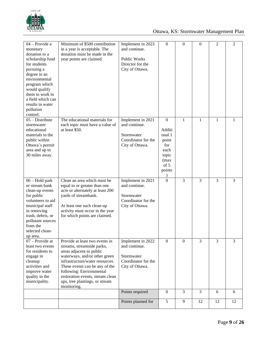

| 04 - Provide a<br>monetary<br>donation to a<br>scholarship fund<br>for students<br>pursuing a<br>degree in an<br>environmental<br>program which<br>would qualify<br>them to work in<br>a field which can<br>results in water<br>pollution<br>control. | Minimum of \$500 contribution<br>in a year is acceptable. The<br>donation must be made in the<br>year points are claimed.                                                                                                                                                                                       | Implement in 2023<br>and continue.<br>Public Works<br>Director for the<br>City of Ottawa.  | $\mathbf{0}$                                                                                    | $\mathbf{0}$   | $\mathbf{0}$ | $\overline{2}$ | $\overline{2}$ |
|-------------------------------------------------------------------------------------------------------------------------------------------------------------------------------------------------------------------------------------------------------|-----------------------------------------------------------------------------------------------------------------------------------------------------------------------------------------------------------------------------------------------------------------------------------------------------------------|--------------------------------------------------------------------------------------------|-------------------------------------------------------------------------------------------------|----------------|--------------|----------------|----------------|
| $05 - Distribute$<br>stormwater<br>educational<br>materials to the<br>public within<br>Ottawa's permit<br>area and up to<br>30 miles away.                                                                                                            | The educational materials for<br>each topic must have a value of<br>at least \$50.                                                                                                                                                                                                                              | Implement in 2021<br>and continue.<br>Stormwater<br>Coordinator for the<br>City of Ottawa. | $\boldsymbol{0}$<br>Additi<br>onal 1<br>point<br>for<br>each<br>topic<br>(max<br>of 5<br>points | $\mathbf{1}$   | $\mathbf{1}$ | 1              | 1              |
| $06 -$ Hold park<br>or stream bank<br>clean-up events<br>for public<br>volunteers to aid<br>municipal staff<br>in removing<br>trash, debris, or<br>pollutant sources<br>from the<br>selected clean-<br>up area.                                       | Clean an area which must be<br>equal to or greater than one<br>acre or alternately at least 200<br>yards of streambank.<br>At least one such clean-up<br>activity must occur in the year<br>for which points are claimed.                                                                                       | Implement in 2021<br>and continue.<br>Stormwater<br>Coordinator for the<br>City of Ottawa. | $\overline{0}$                                                                                  | 3              | 3            | 3              | 3              |
| $07 -$ Provide at<br>least two events<br>for residents to<br>engage in<br>cleanup<br>activities and<br>improve water<br>quality in the<br>municipality.                                                                                               | Provide at least two events in<br>streams, streamside parks,<br>areas adjacent to public<br>waterways, and/or other green<br>infrastructure/water resources.<br>These events can be any of the<br>following: Environmental<br>restoration events, stream clean<br>ups, tree plantings, or stream<br>monitoring. | Implement in 2022<br>and continue.<br>Stormwater<br>Coordinator for the<br>City of Ottawa. | $\boldsymbol{0}$                                                                                | $\Omega$       | 3            | 3              | 3              |
|                                                                                                                                                                                                                                                       |                                                                                                                                                                                                                                                                                                                 | Points required                                                                            | $\boldsymbol{0}$                                                                                | $\overline{3}$ | 3            | 6              | 6              |
|                                                                                                                                                                                                                                                       |                                                                                                                                                                                                                                                                                                                 | Points planned for                                                                         | 5                                                                                               | 9              | 12           | 12             | 12             |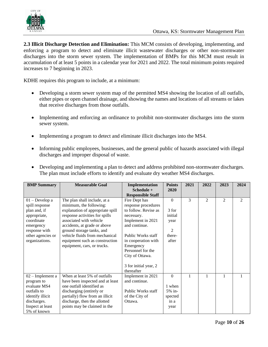

**2.3 Illicit Discharge Detection and Elimination:** This MCM consists of developing, implementing, and enforcing a program to detect and eliminate illicit wastewater discharges or other non-stormwater discharges into the storm sewer system. The implementation of BMPs for this MCM must result in accumulation of at least 5 points in a calendar year for 2021 and 2022. The total minimum points required increases to 7 beginning in 2023.

KDHE requires this program to include, at a minimum:

- Developing a storm sewer system map of the permitted MS4 showing the location of all outfalls, either pipes or open channel drainage, and showing the names and locations of all streams or lakes that receive discharges from those outfalls.
- Implementing and enforcing an ordinance to prohibit non-stormwater discharges into the storm sewer system.
- Implementing a program to detect and eliminate illicit discharges into the MS4.
- Informing public employees, businesses, and the general public of hazards associated with illegal discharges and improper disposal of waste.

| <b>BMP Summary</b> | <b>Measurable Goal</b>           | Implementation           | <b>Points</b>  | 2021 | 2022         | 2023           | 2024 |
|--------------------|----------------------------------|--------------------------|----------------|------|--------------|----------------|------|
|                    |                                  | $Schedule +$             | 2020           |      |              |                |      |
|                    |                                  | <b>Responsible Staff</b> |                |      |              |                |      |
| $01 - Developa$    | The plan shall include, at a     | Fire Dept has            | $\theta$       | 3    | 2            | $\overline{2}$ | 2    |
| spill response     | minimum, the following:          | response procedures      |                |      |              |                |      |
| plan and, if       | explanation of appropriate spill | to follow. Revise as     | 3 for          |      |              |                |      |
| appropriate,       | response activities for spills   | necessary.               | initial        |      |              |                |      |
| coordinate         | associated with vehicle          | Implement in 2021        | year           |      |              |                |      |
| emergency          | accidents, at grade or above     | and continue.            |                |      |              |                |      |
| response with      | ground storage tanks, and        |                          | $\mathfrak{D}$ |      |              |                |      |
| other agencies or  | vehicle fluids from mechanical   | Public Works staff       | there-         |      |              |                |      |
| organizations.     | equipment such as construction   | in cooperation with      | after          |      |              |                |      |
|                    | equipment, cars, or trucks.      | Emergency                |                |      |              |                |      |
|                    |                                  | Personnel for the        |                |      |              |                |      |
|                    |                                  | City of Ottawa.          |                |      |              |                |      |
|                    |                                  |                          |                |      |              |                |      |
|                    |                                  | 3 for initial year, 2    |                |      |              |                |      |
|                    |                                  | thereafter               |                |      |              |                |      |
| 02 – Implement a   | When at least 5% of outfalls     | Implement in 2021        | $\theta$       |      | $\mathbf{1}$ | 1              |      |
| program to         | have been inspected and at least | and continue.            |                |      |              |                |      |
| evaluate MS4       | one outfall identified as        |                          | 1 when         |      |              |                |      |
| outfalls to        | discharging (entirely or         | Public Works staff       | $5%$ in-       |      |              |                |      |
| identify illicit   | partially) flow from an illicit  | of the City of           | spected        |      |              |                |      |
| discharges.        | discharge, then the allotted     | Ottawa.                  | in a           |      |              |                |      |
| Inspect at least   | points may be claimed in the     |                          | year           |      |              |                |      |
| 5% of known        |                                  |                          |                |      |              |                |      |

• Developing and implementing a plan to detect and address prohibited non-stormwater discharges. The plan must include efforts to identify and evaluate dry weather MS4 discharges.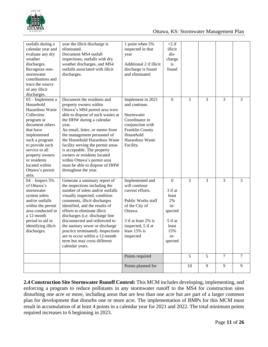

|                                                                                                                                                                                                                                                                            |                                                                                                                                                                                                                                                                                                                                                                                                                                                                        | Points required<br>Points planned for                                                                                                                                             |                                                                                                         | $\mathfrak{S}$<br>10 | 5<br>$\overline{9}$ | $\tau$<br>9 | $\tau$<br>9 |
|----------------------------------------------------------------------------------------------------------------------------------------------------------------------------------------------------------------------------------------------------------------------------|------------------------------------------------------------------------------------------------------------------------------------------------------------------------------------------------------------------------------------------------------------------------------------------------------------------------------------------------------------------------------------------------------------------------------------------------------------------------|-----------------------------------------------------------------------------------------------------------------------------------------------------------------------------------|---------------------------------------------------------------------------------------------------------|----------------------|---------------------|-------------|-------------|
| $04$ – Inspect 5%<br>of Ottawa's<br>stormwater<br>system inlets<br>and/or outfalls<br>within the permit<br>area conducted in<br>a 12-month<br>period to aid in<br>identifying illicit<br>discharges.                                                                       | Generate a summary report of<br>the inspections including the<br>number of inlets and/or outfalls<br>visually inspected, condition<br>comments, illicit discharges<br>identified, and the results of<br>efforts to eliminate illicit<br>discharges (i.e. discharge line<br>disconnected and redirected to<br>the sanitary sewer or discharge<br>practice terminated). Inspections<br>are to occur within a 12-month<br>term but may cross different<br>calendar years. | Implemented and<br>will continue<br>current efforts.<br>Public Works staff<br>of the City of<br>Ottawa.<br>3 if at least 2% is<br>inspected, 5 if at<br>least 15% is<br>inspected | $\mathbf{0}$<br>3 if at<br>least<br>2%<br>$in-$<br>spected<br>5 if at<br>least<br>15%<br>in-<br>spected | 3                    | $\overline{3}$      | 3           | 3           |
| 03 - Implement a<br>Household<br><b>Hazardous Waste</b><br>Collection<br>program or<br>document others<br>that have<br>implemented<br>such a program<br>to provide such<br>service to all<br>property owners<br>or residents<br>located within<br>Ottawa's permit<br>area. | Document the residents and<br>property owners within<br>Ottawa's MS4 permit area were<br>able to dispose of such wastes at<br>the HHW during a calendar<br>year.<br>An email, letter, or memo from<br>the management personnel of<br>the Household Hazardous Waste<br>facility serving the permit areas<br>is acceptable. The property<br>owners or residents located<br>within Ottawa's permit area<br>must be able to dispose of HHW<br>throughout the year.         | Implement in 2021<br>and continue.<br>Stormwater<br>Coordinator in<br>conjunction with<br>Franklin County<br>Household<br>Hazardous Waste<br>Facility.                            | $\mathbf{0}$                                                                                            | 3                    | 3                   | 3           | 3           |
| outfalls during a<br>calendar year and<br>evaluate any dry<br>weather<br>discharges.<br>Recognize non-<br>stormwater<br>contributions and<br>trace the source<br>of any illicit<br>discharges.                                                                             | year the illicit discharge is<br>eliminated.<br>Document MS4 outfall<br>inspections, outfalls with dry<br>weather discharges, and MS4<br>outfalls associated with illicit<br>discharges.                                                                                                                                                                                                                                                                               | 1 point when 5%<br>inspected in that<br>year<br>Additional 2 if illicit<br>discharge is found<br>and eliminated                                                                   | $+2$ if<br>illicit<br>$dis-$<br>charge<br>is<br>found                                                   |                      |                     |             |             |

**2.4 Construction Site Stormwater Runoff Control:** This MCM includes developing, implementing, and enforcing a program to reduce pollutants in any stormwater runoff to the MS4 for construction sites disturbing one acre or more, including areas that are less than one acre but are part of a larger common plan for development that disturbs one or more acre. The implementation of BMPs for this MCM must result in accumulation of at least 4 points in a calendar year for 2021 and 2022. The total minimum points required increases to 6 beginning in 2023.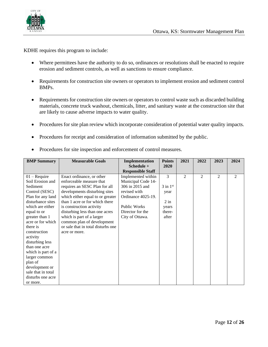

KDHE requires this program to include:

- Where permittees have the authority to do so, ordinances or resolutions shall be enacted to require erosion and sediment controls, as well as sanctions to ensure compliance.
- Requirements for construction site owners or operators to implement erosion and sediment control BMPs.
- Requirements for construction site owners or operators to control waste such as discarded building materials, concrete truck washout, chemicals, litter, and sanitary waste at the construction site that are likely to cause adverse impacts to water quality.
- Procedures for site plan review which incorporate consideration of potential water quality impacts.
- Procedures for receipt and consideration of information submitted by the public.

|  | Procedures for site inspection and enforcement of control measures. |  |  |  |  |  |  |  |
|--|---------------------------------------------------------------------|--|--|--|--|--|--|--|
|--|---------------------------------------------------------------------|--|--|--|--|--|--|--|

| <b>BMP Summary</b> | <b>Measurable Goals</b>            | Implementation<br>Schedule + | <b>Points</b><br>2020 | 2021           | 2022           | 2023           | 2024 |
|--------------------|------------------------------------|------------------------------|-----------------------|----------------|----------------|----------------|------|
|                    |                                    | <b>Responsible Staff</b>     |                       |                |                |                |      |
| $01 -$ Require     | Enact ordinance, or other          | Implemented within           | 3                     | $\overline{2}$ | $\overline{c}$ | $\overline{2}$ | 2    |
| Soil Erosion and   | enforceable measure that           | Municipal Code 14-           |                       |                |                |                |      |
| Sediment           | requires an SESC Plan for all      | 306 in 2015 and              | $3$ in $1st$          |                |                |                |      |
| Control (SESC)     | developments disturbing sites      | revised with                 | year                  |                |                |                |      |
| Plan for any land  | which either equal to or greater   | Ordinance 4025-19.           |                       |                |                |                |      |
| disturbance sites  | than 1 acre or for which there     |                              | $2$ in                |                |                |                |      |
| which are either   | is construction activity           | <b>Public Works</b>          | years                 |                |                |                |      |
| equal to or        | disturbing less than one acres     | Director for the             | there-                |                |                |                |      |
| greater than 1     | which is part of a larger          | City of Ottawa.              | after                 |                |                |                |      |
| acre or for which  | common plan of development         |                              |                       |                |                |                |      |
| there is           | or sale that in total disturbs one |                              |                       |                |                |                |      |
| construction       | acre or more.                      |                              |                       |                |                |                |      |
| activity           |                                    |                              |                       |                |                |                |      |
| disturbing less    |                                    |                              |                       |                |                |                |      |
| than one acre      |                                    |                              |                       |                |                |                |      |
| which is part of a |                                    |                              |                       |                |                |                |      |
| larger common      |                                    |                              |                       |                |                |                |      |
| plan of            |                                    |                              |                       |                |                |                |      |
| development or     |                                    |                              |                       |                |                |                |      |
| sale that in total |                                    |                              |                       |                |                |                |      |
| disturbs one acre  |                                    |                              |                       |                |                |                |      |
| or more.           |                                    |                              |                       |                |                |                |      |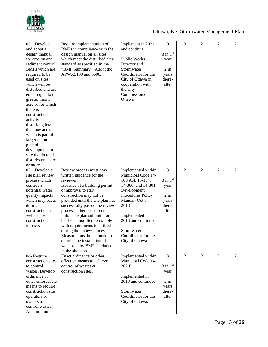

| $02 - Develop$<br>and adopt a<br>design manual<br>for erosion and<br>sediment control<br>BMPs which are<br>required to be<br>used on sites<br>which will be<br>disturbed and are<br>either equal to or<br>greater than 1<br>acre or for which<br>there is<br>construction<br>activity<br>disturbing less<br>than one acres<br>which is part of a<br>larger common<br>plan of<br>development or<br>sale that in total<br>disturbs one acre<br>or more. | Require implementation of<br>BMPs in compliance with the<br>design manual on all sites<br>which meet the disturbed area<br>standard as specified in the<br>"BMP Summary." Adopt the<br>APWA5100 and 5600.                                                                                                                                                                                                                                                                                                   | Implement in 2021<br>and continue.<br>Public Works<br>Director and<br>Stormwater<br>Coordinator for the<br>City of Ottawa in<br>cooperation with<br>the City<br>Commission of<br>Ottawa.                                                          | $\boldsymbol{0}$<br>$3$ in $1st$<br>year<br>$2$ in<br>years<br>there-<br>after | 3              | $\overline{c}$ | $\overline{2}$ | $\overline{2}$ |
|-------------------------------------------------------------------------------------------------------------------------------------------------------------------------------------------------------------------------------------------------------------------------------------------------------------------------------------------------------------------------------------------------------------------------------------------------------|-------------------------------------------------------------------------------------------------------------------------------------------------------------------------------------------------------------------------------------------------------------------------------------------------------------------------------------------------------------------------------------------------------------------------------------------------------------------------------------------------------------|---------------------------------------------------------------------------------------------------------------------------------------------------------------------------------------------------------------------------------------------------|--------------------------------------------------------------------------------|----------------|----------------|----------------|----------------|
| $03 - Developa$<br>site plan review<br>process which<br>considers<br>potential water<br>quality impacts<br>which may occur<br>during<br>construction as<br>well as post<br>construction<br>impacts.                                                                                                                                                                                                                                                   | Review process must have<br>written guidance for the<br>reviewer.<br>Issuance of a building permit<br>or approval to start<br>construction may not be<br>provided until the site plan has<br>successfully passed the review<br>process either based on the<br>initial site plan submittal or<br>has been modified to comply<br>with requirements identified<br>during the review process.<br>Measure must be included to<br>enforce the installation of<br>water quality BMPs included<br>in the site plan. | Implemented within<br>Municipal Code 14-<br>108.A.4, 13-104,<br>14-306, and 14-301.<br>Development<br>Procedures Policy<br>Manual-Oct 3,<br>2018<br>Implemented in<br>2018 and continued.<br>Stormwater<br>Coordinator for the<br>City of Ottawa. | 3<br>$3$ in $1st$<br>year<br>$2$ in<br>years<br>there-<br>after                | $\overline{2}$ | $\overline{2}$ | $\overline{2}$ | $\overline{2}$ |
| 04- Require<br>construction sites<br>to control<br>wastes. Develop<br>ordinance or<br>other enforceable<br>means to require<br>construction site<br>operators or<br>owners to<br>control wastes.<br>At a minimum                                                                                                                                                                                                                                      | Enact ordinance or other<br>effective means to achieve<br>control of wastes at<br>construction sites.                                                                                                                                                                                                                                                                                                                                                                                                       | Implemented within<br>Municipal Code 14-<br>202 B.<br>Implemented in<br>2018 and continued.<br>Stormwater<br>Coordinator for the<br>City of Ottawa.                                                                                               | 3<br>$3$ in $1st$<br>year<br>$2$ in<br>years<br>there-<br>after                | $\overline{2}$ | 2              | $\overline{2}$ | $\overline{2}$ |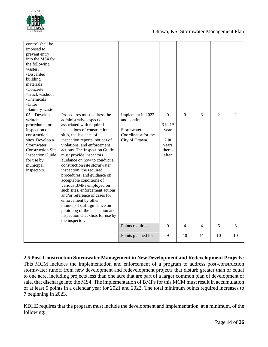

| control shall be<br>imposed to<br>prevent entry<br>into the MS4 for<br>the following<br>wastes:<br>-Discarded<br>building<br>materials<br>-Concrete<br>-Truck washout<br>-Chemicals<br>-Litter<br>-Sanitary waste |                                                                                                                                                                                                                                                                                                                                                                                                                                                                                                                                                                                                                                                                                 |                                                                                            |                                                                        |                |                |                |                |
|-------------------------------------------------------------------------------------------------------------------------------------------------------------------------------------------------------------------|---------------------------------------------------------------------------------------------------------------------------------------------------------------------------------------------------------------------------------------------------------------------------------------------------------------------------------------------------------------------------------------------------------------------------------------------------------------------------------------------------------------------------------------------------------------------------------------------------------------------------------------------------------------------------------|--------------------------------------------------------------------------------------------|------------------------------------------------------------------------|----------------|----------------|----------------|----------------|
| $05 - Develop$<br>written<br>procedures for<br>inspection of<br>construction<br>sites. Develop a<br>Stormwater<br><b>Construction Site</b><br><b>Inspection Guide</b><br>for use by<br>municipal<br>inspectors.   | Procedures must address the<br>administrative aspects<br>associated with required<br>inspections of construction<br>sites, the issuance of<br>inspection reports, notices of<br>violations, and enforcement<br>actions. The Inspection Guide<br>must provide inspectors<br>guidance on how to conduct a<br>construction site stormwater<br>inspection, the required<br>procedures, and guidance on<br>acceptable conditions of<br>various BMPs employed on<br>such sites, enforcement actions<br>and/or reference of cases for<br>enforcement by other<br>municipal staff, guidance on<br>photo log of the inspection and<br>inspection checklists for use by<br>the inspector. | Implement in 2022<br>and continue.<br>Stormwater<br>Coordinator for the<br>City of Ottawa. | $\theta$<br>$3$ in $1st$<br>year<br>$2$ in<br>years<br>there-<br>after | $\overline{0}$ | 3              | $\overline{2}$ | $\overline{2}$ |
|                                                                                                                                                                                                                   |                                                                                                                                                                                                                                                                                                                                                                                                                                                                                                                                                                                                                                                                                 | Points required                                                                            | $\mathbf{0}$                                                           | $\overline{4}$ | $\overline{4}$ | 6              | 6              |
|                                                                                                                                                                                                                   |                                                                                                                                                                                                                                                                                                                                                                                                                                                                                                                                                                                                                                                                                 | Points planned for                                                                         | 9                                                                      | 10             | 11             | 10             | 10             |

#### **2.5 Post-Construction Stormwater Management in New Development and Redevelopment Projects:**

This MCM includes the implementation and enforcement of a program to address post-construction stormwater runoff from new development and redevelopment projects that disturb greater than or equal to one acre, including projects less than one acre that are part of a larger common plan of development or sale, that discharge into the MS4. The implementation of BMPs for this MCM must result in accumulation of at least 5 points in a calendar year for 2021 and 2022. The total minimum points required increases to 7 beginning in 2023.

KDHE requires that the program must include the development and implementation, at a minimum, of the following: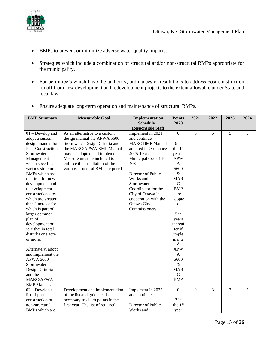

- BMPs to prevent or minimize adverse water quality impacts.
- Strategies which include a combination of structural and/or non-structural BMPs appropriate for the municipality.
- For permittee's which have the authority, ordinances or resolutions to address post-construction runoff from new development and redevelopment projects to the extent allowable under State and local law.
- Ensure adequate long-term operation and maintenance of structural BMPs.

| <b>BMP</b> Summary                                                                                                                                                                                                                                                                                                                                                                                                                                                                                                                                                             | <b>Measurable Goal</b>                                                                                                                                                                                                                                               | Implementation                                                                                                                                                                                                                                                                        | <b>Points</b>                                                                                                                                                                                                                                                                                                   | 2021           | 2022 | 2023           | 2024           |
|--------------------------------------------------------------------------------------------------------------------------------------------------------------------------------------------------------------------------------------------------------------------------------------------------------------------------------------------------------------------------------------------------------------------------------------------------------------------------------------------------------------------------------------------------------------------------------|----------------------------------------------------------------------------------------------------------------------------------------------------------------------------------------------------------------------------------------------------------------------|---------------------------------------------------------------------------------------------------------------------------------------------------------------------------------------------------------------------------------------------------------------------------------------|-----------------------------------------------------------------------------------------------------------------------------------------------------------------------------------------------------------------------------------------------------------------------------------------------------------------|----------------|------|----------------|----------------|
|                                                                                                                                                                                                                                                                                                                                                                                                                                                                                                                                                                                |                                                                                                                                                                                                                                                                      | Schedule +<br><b>Responsible Staff</b>                                                                                                                                                                                                                                                | 2020                                                                                                                                                                                                                                                                                                            |                |      |                |                |
| $01$ – Develop and<br>adopt a custom<br>design manual for<br>Post-Construction<br>Stormwater<br>Management<br>which specifies<br>various structural<br>BMPs which are<br>required for new<br>development and<br>redevelopment<br>construction sites<br>which are greater<br>than 1 acre of for<br>which is part of a<br>larger common<br>plan of<br>development or<br>sale that in total<br>disturbs one acre<br>or more.<br>Alternately, adopt<br>and implement the<br><b>APWA 5600</b><br>Stormwater<br>Design Criteria<br>and the<br><b>MARC/APWA</b><br><b>BMP</b> Manual. | As an alternative to a custom<br>design manual the APWA 5600<br>Stormwater Design Criteria and<br>the MARC/APWA BMP Manual<br>may be adopted and implemented.<br>Measure must be included to<br>enforce the installation of the<br>various structural BMPs required. | Implement in 2021<br>and continue.<br><b>MARC BMP Manual</b><br>adopted in Ordinance<br>4025-19 as<br>Municipal Code 14-<br>403<br>Director of Public<br>Works and<br>Stormwater<br>Coordinator for the<br>City of Ottawa in<br>cooperation with the<br>Ottawa City<br>Commissioners. | $\boldsymbol{0}$<br>$6$ in<br>the 1 <sup>st</sup><br>year if<br><b>APW</b><br>A<br>5600<br>$\&$<br><b>MAR</b><br>$\mathcal{C}$<br><b>BMP</b><br>are<br>adopte<br>d<br>$5$ in<br>years<br>thereaf<br>ter if<br>imple<br>mente<br>d<br><b>APW</b><br>A<br>5600<br>$\&$<br><b>MAR</b><br>$\mathbf C$<br><b>BMP</b> | 6              | 5    | 5              | 5              |
| $02 - Developa$<br>list of post-<br>construction or<br>non-structural                                                                                                                                                                                                                                                                                                                                                                                                                                                                                                          | Development and implementation<br>of the list and guidance is<br>necessary to claim points in the<br>first year. The list of required                                                                                                                                | Implement in 2022<br>and continue.<br>Director of Public                                                                                                                                                                                                                              | $\boldsymbol{0}$<br>$3$ in<br>the 1st                                                                                                                                                                                                                                                                           | $\overline{0}$ | 3    | $\overline{2}$ | $\overline{2}$ |
| BMPs which are                                                                                                                                                                                                                                                                                                                                                                                                                                                                                                                                                                 |                                                                                                                                                                                                                                                                      | Works and                                                                                                                                                                                                                                                                             | year                                                                                                                                                                                                                                                                                                            |                |      |                |                |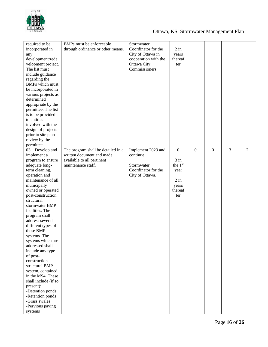

| required to be<br>incorporated in<br>any<br>development/rede<br>velopment project.<br>The list must<br>include guidance<br>regarding the<br><b>BMPs</b> which must<br>be incorporated in                                                                                                                                                                                                                                                                                                                                                                                                                              | BMPs must be enforceable<br>through ordinance or other means.                                                       | Stormwater<br>Coordinator for the<br>City of Ottawa in<br>cooperation with the<br>Ottawa City<br>Commissioners. | $2$ in<br>years<br>thereaf<br>ter                                                  |              |                |   |   |
|-----------------------------------------------------------------------------------------------------------------------------------------------------------------------------------------------------------------------------------------------------------------------------------------------------------------------------------------------------------------------------------------------------------------------------------------------------------------------------------------------------------------------------------------------------------------------------------------------------------------------|---------------------------------------------------------------------------------------------------------------------|-----------------------------------------------------------------------------------------------------------------|------------------------------------------------------------------------------------|--------------|----------------|---|---|
| various projects as<br>determined<br>appropriate by the<br>permittee. The list<br>is to be provided<br>to entities<br>involved with the<br>design of projects<br>prior to site plan<br>review by the<br>permittee.                                                                                                                                                                                                                                                                                                                                                                                                    |                                                                                                                     |                                                                                                                 |                                                                                    |              |                |   |   |
| $03 - Develop$ and<br>implement a<br>program to ensure<br>adequate long-<br>term cleaning,<br>operation and<br>maintenance of all<br>municipally<br>owned or operated<br>post-construction<br>structural<br>stormwater BMP<br>facilities. The<br>program shall<br>address several<br>different types of<br>these BMP<br>systems. The<br>systems which are<br>addressed shall<br>include any type<br>of post-<br>construction<br>structural BMP<br>system, contained<br>in the MS4. These<br>shall include (if so<br>present):<br>-Detention ponds<br>-Retention ponds<br>-Grass swales<br>-Pervious paving<br>systems | The program shall be detailed in a<br>written document and made<br>available to all pertinent<br>maintenance staff. | Implement 2023 and<br>continue<br>Stormwater<br>Coordinator for the<br>City of Ottawa.                          | $\boldsymbol{0}$<br>$3$ in<br>the 1st<br>year<br>$2$ in<br>years<br>thereaf<br>ter | $\mathbf{0}$ | $\overline{0}$ | 3 | 2 |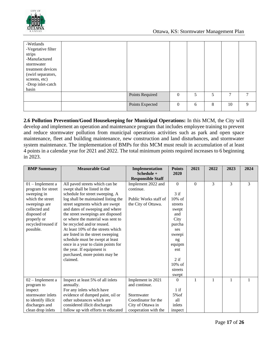

| -Wetlands<br>-Vegetative filter<br>strips<br>-Manufactured<br>stormwater<br>treatment devices<br>(swirl separators,<br>screens, etc)<br>-Drop inlet-catch<br>basin |                 |              |   |   |    |   |
|--------------------------------------------------------------------------------------------------------------------------------------------------------------------|-----------------|--------------|---|---|----|---|
|                                                                                                                                                                    | Points Required | $\mathbf{0}$ | 5 | 5 | 7  | 7 |
|                                                                                                                                                                    | Points Expected | $\mathbf{0}$ | 6 | 8 | 10 | 9 |

**2.6 Pollution Prevention/Good Housekeeping for Municipal Operations:** In this MCM, the City will develop and implement an operation and maintenance program that includes employee training to prevent and reduce stormwater pollution from municipal operations activities such as park and open space maintenance, fleet and building maintenance, new construction and land disturbances, and stormwater system maintenance. The implementation of BMPs for this MCM must result in accumulation of at least 4 points in a calendar year for 2021 and 2022. The total minimum points required increases to 6 beginning in 2023.

| <b>BMP Summary</b>  | <b>Measurable Goal</b>              | Implementation<br>Schedule + | <b>Points</b><br>2020 | 2021         | 2022          | 2023         | 2024 |
|---------------------|-------------------------------------|------------------------------|-----------------------|--------------|---------------|--------------|------|
|                     |                                     | <b>Responsible Staff</b>     |                       |              |               |              |      |
| $01$ – Implement a  | All paved streets which can be      | Implement 2022 and           | $\overline{0}$        | $\mathbf{0}$ | $\mathcal{E}$ | 3            | 3    |
| program for street  | swept shall be listed in the        | continue.                    |                       |              |               |              |      |
| sweeping in         | schedule for street sweeping. A     |                              | $3$ if                |              |               |              |      |
| which the street    | log shall be maintained listing the | Public Works staff of        | $10\%$ of             |              |               |              |      |
| sweepings are       | street segments which are swept     | the City of Ottawa.          | streets               |              |               |              |      |
| collected and       | and dates of sweeping and where     |                              | swept                 |              |               |              |      |
| disposed of         | the street sweepings are disposed   |                              | and                   |              |               |              |      |
| properly or         | or where the material was sent to   |                              | City                  |              |               |              |      |
| recycled/reused if  | be recycled and/or reused.          |                              | purcha                |              |               |              |      |
| possible.           | At least 10% of the streets which   |                              | ses                   |              |               |              |      |
|                     | are listed in the street sweeping   |                              | sweepi                |              |               |              |      |
|                     | schedule must be swept at least     |                              | ng                    |              |               |              |      |
|                     | once in a year to claim points for  |                              | equipm                |              |               |              |      |
|                     | the year. If equipment is           |                              | ent                   |              |               |              |      |
|                     | purchased, more points may be       |                              |                       |              |               |              |      |
|                     | claimed.                            |                              | 2if                   |              |               |              |      |
|                     |                                     |                              | $10\%$ of             |              |               |              |      |
|                     |                                     |                              | streets               |              |               |              |      |
|                     |                                     |                              | swept                 |              |               |              |      |
| $02$ – Implement a  | Inspect at least 5% of all inlets   | Implement in 2021            | 0                     | $\mathbf{1}$ | $\mathbf{1}$  | $\mathbf{1}$ |      |
| program to          | annually.                           | and continue.                |                       |              |               |              |      |
| inspect             | For any inlets which have           |                              | $1$ if                |              |               |              |      |
| stormwater inlets   | evidence of dumped paint, oil or    | Stormwater                   | $5\%$ of              |              |               |              |      |
| to identify illicit | other substances which are          | Coordinator for the          | all                   |              |               |              |      |
| discharges and      | considered illicit discharges       | City of Ottawa in            | inlets                |              |               |              |      |
| clean drop inlets   | follow up with efforts to educated  | cooperation with the         | inspect               |              |               |              |      |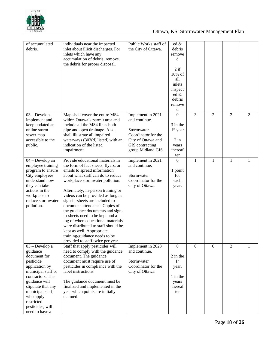

| of accumulated<br>debris.                                                                                                                                                                                                                       | individuals near the impacted<br>inlet about illicit discharges. For<br>inlets which have any<br>accumulation of debris, remove<br>the debris for proper disposal.                                                                                                                                                                                                                                                                                                                                                                                                                   | Public Works staff of<br>the City of Ottawa.                                                                                           | ed &<br>debris<br>remove<br>d<br>$2$ if<br>10% of<br>all<br>inlets<br>inspect<br>ed &<br>debris<br>remove<br>d |          |              |                |   |
|-------------------------------------------------------------------------------------------------------------------------------------------------------------------------------------------------------------------------------------------------|--------------------------------------------------------------------------------------------------------------------------------------------------------------------------------------------------------------------------------------------------------------------------------------------------------------------------------------------------------------------------------------------------------------------------------------------------------------------------------------------------------------------------------------------------------------------------------------|----------------------------------------------------------------------------------------------------------------------------------------|----------------------------------------------------------------------------------------------------------------|----------|--------------|----------------|---|
| $03 - Develop,$<br>implement and<br>keep updated an<br>online storm<br>sewer map<br>accessible to the<br>public.                                                                                                                                | Map shall cover the entire MS4<br>within Ottawa's permit area and<br>include all the MS4 lines both<br>pipe and open drainage. Also,<br>shall illustrate all impaired<br>waterways (303(d) listed) with an<br>indication of the listed<br>impairment.                                                                                                                                                                                                                                                                                                                                | Implement in 2021<br>and continue.<br>Stormwater<br>Coordinator for the<br>City of Ottawa and<br>GIS contracting<br>group Midland GIS. | $\theta$<br>3 in the<br>$1st$ year<br>$2$ in<br>years<br>thereaf<br>ter                                        | 3        | 2            | 2              | 2 |
| 04 - Develop an<br>employee training<br>program to ensure<br>City employees<br>understand how<br>they can take<br>actions in the<br>workplace to<br>reduce stormwater<br>pollution.                                                             | Provide educational materials in<br>the form of fact sheets, flyers, or<br>emails to spread information<br>about what staff can do to reduce<br>workplace stormwater pollution.<br>Alternately, in-person training or<br>videos can be provided as long as<br>sign-in-sheets are included to<br>document attendance. Copies of<br>the guidance documents and sign-<br>in-sheets need to be kept and a<br>log of when educational materials<br>were distributed to staff should be<br>kept as well. Appropriate<br>training/guidance needs to be<br>provided to staff twice per year. | Implement in 2021<br>and continue.<br>Stormwater<br>Coordinator for the<br>City of Ottawa.                                             | $\Omega$<br>1 point<br>for<br>each<br>year.                                                                    | 1        | $\mathbf{1}$ | $\mathbf{1}$   | 1 |
| 05 - Develop a<br>guidance<br>document for<br>pesticide<br>application by<br>municipal staff or<br>contractors. The<br>guidance will<br>stipulate that any<br>municipal staff,<br>who apply<br>restricted<br>pesticides, will<br>need to have a | Staff that apply pesticides will<br>need to comply with the guidance<br>document. The guidance<br>document must require use of<br>pesticides in compliance with the<br>label instructions.<br>The guidance document must be<br>finalized and implemented in the<br>year which points are initially<br>claimed.                                                                                                                                                                                                                                                                       | Implement in 2023<br>and continue.<br>Stormwater<br>Coordinator for the<br>City of Ottawa.                                             | $\overline{0}$<br>2 in the<br>1 <sup>st</sup><br>year.<br>1 in the<br>years<br>thereaf<br>ter                  | $\Omega$ | $\mathbf{0}$ | $\overline{2}$ | 1 |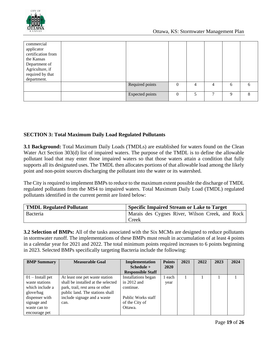

| commercial<br>applicator<br>certification from<br>the Kansas<br>Department of<br>Agriculture, if<br>required by that<br>department. |                        |          |   |                |   |   |
|-------------------------------------------------------------------------------------------------------------------------------------|------------------------|----------|---|----------------|---|---|
|                                                                                                                                     | Required points        |          | 4 | $\overline{4}$ | 6 | 6 |
|                                                                                                                                     | <b>Expected points</b> | $\Omega$ | 5 | ┑              | 9 | 8 |

#### **SECTION 3: Total Maximum Daily Load Regulated Pollutants**

**3.1 Background:** Total Maximum Daily Loads (TMDLs) are established for waters found on the Clean Water Act Section 303(d) list of impaired waters. The purpose of the TMDL is to define the allowable pollutant load that may enter those impaired waters so that those waters attain a condition that fully supports all its designated uses. The TMDL then allocates portions of that allowable load among the likely point and non-point sources discharging the pollutant into the water or its watershed.

The City is required to implement BMPs to reduce to the maximum extent possible the discharge of TMDL regulated pollutants from the MS4 to impaired waters. Total Maximum Daily Load (TMDL) regulated pollutants identified in the current permit are listed below:

| <b>TMDL Regulated Pollutant</b> | <b>Specific Impaired Stream or Lake to Target</b> |
|---------------------------------|---------------------------------------------------|
| <b>Bacteria</b>                 | Marais des Cygnes River, Wilson Creek, and Rock   |
|                                 | Creek                                             |

**3.2 Selection of BMPs:** All of the tasks associated with the Six MCMs are designed to reduce pollutants in stormwater runoff. The implementations of these BMPs must result in accumulation of at least 4 points in a calendar year for 2021 and 2022. The total minimum points required increases to 6 points beginning in 2023. Selected BMPs specifically targeting Bacteria include the following:

| <b>BMP Summary</b> | <b>Measurable Goal</b>             | Implementation           | <b>Points</b> | 2021 | 2022 | 2023 | 2024 |
|--------------------|------------------------------------|--------------------------|---------------|------|------|------|------|
|                    |                                    | Schedule $+$             | 2020          |      |      |      |      |
|                    |                                    | <b>Responsible Staff</b> |               |      |      |      |      |
| $01$ – Install pet | At least one pet waste station     | Installations began      | 1 each        |      |      |      |      |
| waste stations     | shall be installed at the selected | in $2012$ and            | year          |      |      |      |      |
| which include a    | park, trail, rest area or other    | continue.                |               |      |      |      |      |
| glove/bag          | public land. The stations shall    |                          |               |      |      |      |      |
| dispenser with     | include signage and a waste        | Public Works staff       |               |      |      |      |      |
| signage and        | can.                               | of the City of           |               |      |      |      |      |
| waste can to       |                                    | Ottawa.                  |               |      |      |      |      |
| encourage pet      |                                    |                          |               |      |      |      |      |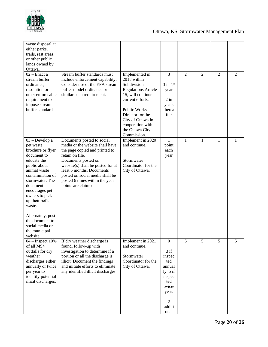

| waste disposal at<br>either parks,<br>trails, rest areas,<br>or other public<br>lands owned by<br>Ottawa.                                                                                                                                                                                                                 |                                                                                                                                                                                                                                                                                                         |                                                                                                                                                                                                                                           |                                                                                                                                           |                |   |                |   |
|---------------------------------------------------------------------------------------------------------------------------------------------------------------------------------------------------------------------------------------------------------------------------------------------------------------------------|---------------------------------------------------------------------------------------------------------------------------------------------------------------------------------------------------------------------------------------------------------------------------------------------------------|-------------------------------------------------------------------------------------------------------------------------------------------------------------------------------------------------------------------------------------------|-------------------------------------------------------------------------------------------------------------------------------------------|----------------|---|----------------|---|
| $02$ – Enact a<br>stream buffer<br>ordinance,<br>resolution or<br>other enforceable<br>requirement to<br>impose stream<br>buffer standards.                                                                                                                                                                               | Stream buffer standards must<br>include enforcement capability.<br>Consider use of the EPA stream<br>buffer model ordinance or<br>similar such requirement.                                                                                                                                             | Implemented in<br>2018 within<br>Subdivision<br><b>Regulations Article</b><br>15, will continue<br>current efforts.<br><b>Public Works</b><br>Director for the<br>City of Ottawa in<br>cooperation with<br>the Ottawa City<br>Commission. | 3<br>$3$ in $1st$<br>year<br>$2$ in<br>years<br>therea<br>fter                                                                            | $\overline{2}$ | 2 | $\overline{2}$ | 2 |
| 03 - Develop a<br>pet waste<br>brochure or flyer<br>document to<br>educate the<br>public about<br>animal waste<br>contamination of<br>stormwater. The<br>document<br>encourages pet<br>owners to pick<br>up their pet's<br>waste.<br>Alternately, post<br>the document to<br>social media or<br>the municipal<br>website. | Documents posted to social<br>media or the website shall have<br>the page copied and printed to<br>retain on file.<br>Documents posted on<br>website(s) shall be posted for at<br>least 6 months. Documents<br>posted on social media shall be<br>posted 6 times within the year<br>points are claimed. | Implement in 2020<br>and continue.<br>Stormwater<br>Coordinator for the<br>City of Ottawa.                                                                                                                                                | $\mathbf{1}$<br>point<br>each<br>year                                                                                                     | 1              | 1 | 1              | 1 |
| $04$ – Inspect 10%<br>of all MS4<br>outfalls for dry<br>weather<br>discharges either<br>annually or twice<br>per year to<br>identify potential<br>illicit discharges.                                                                                                                                                     | If dry weather discharge is<br>found, follow-up with<br>investigation to determine if a<br>portion or all the discharge is<br>illicit. Document the findings<br>and initiate efforts to eliminate<br>any identified illicit discharges.                                                                 | Implement in 2021<br>and continue.<br>Stormwater<br>Coordinator for the<br>City of Ottawa.                                                                                                                                                | $\overline{0}$<br>$3$ if<br>inspec<br>ted<br>annual<br>ly. $5$ if<br>inspec<br>ted<br>twice/<br>year.<br>$\overline{2}$<br>additi<br>onal | 5              | 5 | 5              | 5 |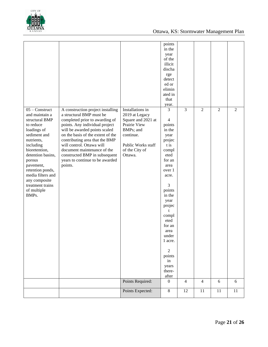

| points<br>in the<br>year<br>of the<br>illicit<br>discha<br>rge<br>detect<br>ed or<br>elimin<br>ated in<br>that<br>year.<br>$\overline{3}$<br>3<br>$\overline{2}$<br>$\overline{2}$<br>$05 -$ Construct<br>Installations in<br>$\overline{2}$<br>A construction project installing<br>a structural BMP must be<br>and maintain a<br>2019 at Legacy<br>completed prior to awarding of<br>Square and 2021 at<br>$\overline{4}$<br>structural BMP<br>points. Any individual project<br>Prairie View<br>to reduce<br>points<br>loadings of<br>will be awarded points scaled<br>BMPs; and<br>in the<br>on the basis of the extent of the<br>sediment and<br>continue.<br>year<br>nutrients,<br>contributing area that the BMP<br>projec<br>will control. Ottawa will<br>including<br>Public Works staff<br>t is<br>document maintenance of the<br>bioretention,<br>of the City of<br>compl<br>detention basins,<br>Ottawa.<br>constructed BMP in subsequent<br>eted<br>years to continue to be awarded<br>for an<br>porous<br>points.<br>pavement,<br>area<br>retention ponds,<br>over 1<br>media filters and<br>acre.<br>any composite<br>3<br>treatment trains<br>of multiple<br>points<br>BMPs.<br>in the<br>year<br>projec<br>t<br>compl<br>eted<br>for an<br>area<br>under<br>1 acre.<br>$\overline{2}$<br>points<br>in<br>years<br>there-<br>after<br>Points Required:<br>$\boldsymbol{0}$<br>$\overline{4}$<br>6<br>6<br>$\overline{4}$<br>Points Expected:<br>$8\,$<br>$11\,$<br>12<br>11<br>$11\,$ |  |  |  |  |
|-------------------------------------------------------------------------------------------------------------------------------------------------------------------------------------------------------------------------------------------------------------------------------------------------------------------------------------------------------------------------------------------------------------------------------------------------------------------------------------------------------------------------------------------------------------------------------------------------------------------------------------------------------------------------------------------------------------------------------------------------------------------------------------------------------------------------------------------------------------------------------------------------------------------------------------------------------------------------------------------------------------------------------------------------------------------------------------------------------------------------------------------------------------------------------------------------------------------------------------------------------------------------------------------------------------------------------------------------------------------------------------------------------------------------------------------------------------------------------------------------------|--|--|--|--|
|                                                                                                                                                                                                                                                                                                                                                                                                                                                                                                                                                                                                                                                                                                                                                                                                                                                                                                                                                                                                                                                                                                                                                                                                                                                                                                                                                                                                                                                                                                       |  |  |  |  |
|                                                                                                                                                                                                                                                                                                                                                                                                                                                                                                                                                                                                                                                                                                                                                                                                                                                                                                                                                                                                                                                                                                                                                                                                                                                                                                                                                                                                                                                                                                       |  |  |  |  |
|                                                                                                                                                                                                                                                                                                                                                                                                                                                                                                                                                                                                                                                                                                                                                                                                                                                                                                                                                                                                                                                                                                                                                                                                                                                                                                                                                                                                                                                                                                       |  |  |  |  |
|                                                                                                                                                                                                                                                                                                                                                                                                                                                                                                                                                                                                                                                                                                                                                                                                                                                                                                                                                                                                                                                                                                                                                                                                                                                                                                                                                                                                                                                                                                       |  |  |  |  |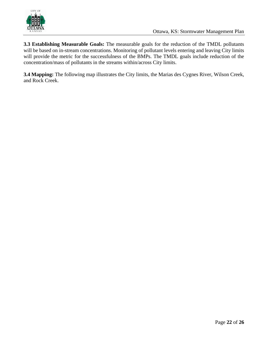

**3.3 Establishing Measurable Goals:** The measurable goals for the reduction of the TMDL pollutants will be based on in-stream concentrations. Monitoring of pollutant levels entering and leaving City limits will provide the metric for the successfulness of the BMPs. The TMDL goals include reduction of the concentration/mass of pollutants in the streams within/across City limits.

**3.4 Mapping:** The following map illustrates the City limits, the Marias des Cygnes River, Wilson Creek, and Rock Creek.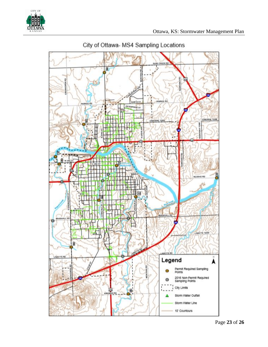



# City of Ottawa- MS4 Sampling Locations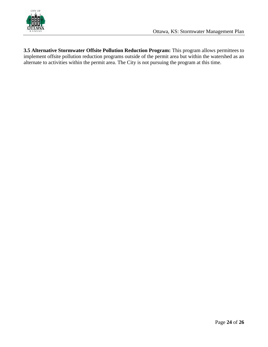

**3.5 Alternative Stormwater Offsite Pollution Reduction Program:** This program allows permittees to implement offsite pollution reduction programs outside of the permit area but within the watershed as an alternate to activities within the permit area. The City is not pursuing the program at this time.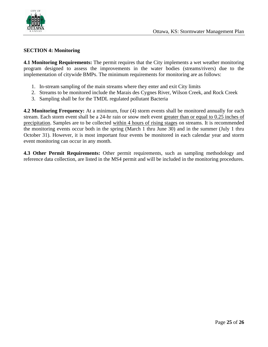

#### **SECTION 4: Monitoring**

**4.1 Monitoring Requirements:** The permit requires that the City implements a wet weather monitoring program designed to assess the improvements in the water bodies (streams/rivers) due to the implementation of citywide BMPs. The minimum requirements for monitoring are as follows:

- 1. In-stream sampling of the main streams where they enter and exit City limits
- 2. Streams to be monitored include the Marais des Cygnes River, Wilson Creek, and Rock Creek
- 3. Sampling shall be for the TMDL regulated pollutant Bacteria

**4.2 Monitoring Frequency:** At a minimum, four (4) storm events shall be monitored annually for each stream. Each storm event shall be a 24-hr rain or snow melt event greater than or equal to 0.25 inches of precipitation. Samples are to be collected within 4 hours of rising stages on streams. It is recommended the monitoring events occur both in the spring (March 1 thru June 30) and in the summer (July 1 thru October 31). However, it is most important four events be monitored in each calendar year and storm event monitoring can occur in any month.

**4.3 Other Permit Requirements:** Other permit requirements, such as sampling methodology and reference data collection, are listed in the MS4 permit and will be included in the monitoring procedures.